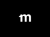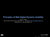### **Principles of Web Digital Dynamic Usability**

Valery F. Venda,

Senior Human Factors Advisor marchFIRST Inc., Phoenix AZ, valeri.venda@marchfirst.com (602) 824-2131, www.marchFIRST.com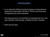# Introduction

- > In my Keynote Address for the Congress of International Ergonomics Association IEA'94 in Toronto the three laws of ergodynamics were proposed.
- > The laws proved to be important for development of a new web usability methodology, a Digital Dynamic Usability.
- > Here are the laws:

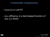#### Fundamentals of ergodynamics

> Ergodynamics Law #1

> *Work efficiency is a bell-shaped function of any work factor.*

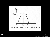

 $\mathsf m$ 

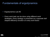# Fundamentals of ergodynamics

- > Ergodynamics Law #2
- > *Every work task can be done using different work strategies. Every strategy is presented as a separate bellshaped efficiency function on every work factor.*

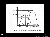



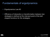# Fundamentals of ergodynamics

- > Ergodynamics Law #3
- > *Efficiency of interaction or transformation between two strategies is defined at the intersect point of the bellshaped functions for the strategies.*

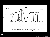

#### Visualization of the Law #3 of ergodynamics





**Page 8 3-Nov-19 Proprietary and Confidential**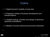# **Outline**

> 1. Digital Dynamic Usability of web sites

>

- > 2. Predictive models of business development and transformations
- > 3. Usability testing, invention and design of electronic assembly workstations
- > 4. Models of human-machine-environment interaction

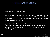## 1. Digital Dynamic Usability

- > Limitations of existing web usability:
- > Existing usability methods are based on implicit assumption that a usability tester (participant, user) and a product (web site, hardware or software) are not changing essentially and thus the usability process is a static one. It is not true.
- > Qualitative and static oriented usability methods are not adequate to web using, web access, training, rehabilitation and to any other real dynamic process of human-machine-environment interaction and mutual adaptation.

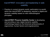### marchFIRST: innovation and leadership in web usability

- > Practice in current dynamic world, particularly in e-world, which the marchFIRST is designing, requires a digital and dynamic usability based on new methodological principles.
- > **marchFIRST Phoenix Usability Center** is developing and providing a new, digital dynamic usability methodology based on the foremost achievements of ergonomics, human factors and ergodynamics.

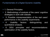Fundamentals of a Digital Dynamic Usability

# > 1. General Principles

- > 2. Methodology of analysis of the users' cognitive strategies in work with website.
- > 3. Possible misrepresentation of the real users' performance in the usability experiments.
- > 4. Usability factors: distinguishing and quantitative analysis.
- > 5. DDU principles and recommendations: optimization of the usability factors.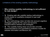Limitations of the existing usability methodology

>

> **Why existing usability methodology is not sufficient for web design?**

- > **1)** Existing web site usability testing methodology is mostly based on qualitative analysis of user-web interaction.
- > **2)** The methodology does not take into account cognitive strategies applied by the users and dynamic transformations between the strategies.
- > **3)** The usability testing does not provide concrete recommendations and quantitative predictive models for website information architecture (IA).

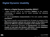# **Digital Dynamic Usability**

#### > **What is a Digital Dynamic Usability (DDU)?**

- > Digital Dynamic UIA is an innovative **addition** to the existing methodology of usability and IA, which provides the following improvements:
- > 1) Use of **quantitative measurements** of the web usability **criteria and factors**;
- > **2)** Produce specific recommendations for IA based on analysis of the **differences between optimal and actual values of the criteria and factors for different cognitive strategies of the website users;**
- > 3) Use fundamental principles of **ergodynamics** and **predictive models of user-web site dynamic interaction, mutual adaptation and transformations in users' cognitive strategies**.

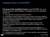**The goal of the Usability Center** at marchFIRST Inc. is to further improve methodology of usability and IA of websites based on:

1) Development of general principles of DDU

2) Quantitative measurements of the actual values of the web usability criteria and factors using objective registration of user's performance and specially designed questionnaires of an "indirect" type to prevent influence of subjective bias,

3) Analysis and comparison of actual and optimal values of the efficiency-complexity factors for different cognitive strategies of the website users,

4) Development of IA principles and concrete recommendations on optimization of the most influential efficiency factors for different cognitive strategies of the website users,

5) Development of predictive models of user-website mutual adaptation and increase of user's performance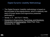### Digital Dynamic Usability Methodology

- > The Digital Dynamic Usability methodology is based on the principles of the ergodynamics, which is relatively new area of human factors and ergonomics presented particularly in
- > Venda, V. F., and Yuri V. Venda,
- > Dynamics in Ergonomics, Psychology, and Decisions: Introduction to Ergodynamics. Ablex Publ. Corp., Norwood, N.J., 1995.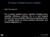### Principles of Digital Dynamic Usability

- > DDU Principle #1.
- > *For a certain website user's cognitive strategy every usability efficiency criterion, Qi , is a bell shaped function of every usability efficiency-complexity factor or usability factor of human-website interaction and mutual adaptation, Fj .*

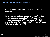Principles of Digital Dynamic Usability

- > DDU Principle #2. Principle of plurality of cognitive strategies
- > *Users may use different cognitive strategies while using the same website. Each user's cognitive strategy is presented with a corresponding bellshaped function for usability efficiency criteria and a U-shaped function for UCC.*

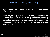**DDU Principle #3. Principle of user-website interaction efficiency.**

*If website designer is adapting the website to a cognitive strategy S1, but the users are using a different cognitive strategy*  $S_2$ , *then a value* of *efficiency criterion* of *interaction between user and website is determined at an intersect point of the bell shaped functions (curves) for*  $S_1$  *and*  $S_2$ .

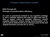**DDU Principle #4. Principle of transformation efficiency.**

*If a user is previously trained to use cognitive strategy S<sub>1</sub> but a website requires the user to learn and use S<sub>2</sub>, then a lowest value of usability efficiency criteria usability efficiency criteria during transformation of*  $S_1$ *into*  $S_2$  *will be determined at an intersect point of the bell shaped functions (curves) for S<sub>1</sub> and S<sub>2</sub>.* 

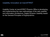### Usability innovation at marchFIRST

Usability Center at marchFIRST Phoenix Office is developing and implementing the new methodology of the web usability and information architecture, Digital Dynamic Usability based on the General Principles of Ergodynamics

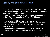### Usability innovation at marchFIRST

The new methodology provides advanced results based on

1. **quantitative measurements of the actual values** of the web usability criteria and factors;

2. analysis and comparison of **actual and optimal values of the efficiency-complexity factors for different cognitive strategies** of the website users,

3. development of IA principles and **concrete recommendations on optimization** of the most influential efficiency factors for different cognitive strategies of the website users,

4. **development of predictive models** of user-website mutual adaptation and increase of user's performance.

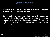#### Cognitive strategies

#### **Cognitive strategies used by web site usability testing participants and by web site users**

Our experiments confirmed that user-web interaction efficiency is bell-shaped function of different factors characterizing the web site. In accordance to the Principle #2 each web site might be perceived by the users using different cognitive strategies.

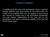#### Cognitive strategies

If usability tests are done with participants using a cognitive strategy different from those typical for the actual users, the results of the usability tests may be useless or even wrong and harmful for further use in the information architecture and web design. Optimization of the web site for the participants may lead to worsening usability of the web site for the actual users.

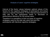#### Analysis of users' cognitive strategies

Interval of the factor values between optimal values of the factors for the cognitive strategies of participants and actual users is a special importance. In this interval improvement of web site for the participants leads to decrease of performance efficiency for the actual users.

Therefore it is mandatory to find out types of cognitive strategies used by the web site users and pick the participants with identical cognitive strategies.

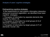Analysis of users' cognitive strategies

#### Distinguishing cognitive strategies

In the experiments on user-graphic information interaction, using eye movement registration, we identified three basic cognitive strategies:

1. Perception of information by separate elements (like reading "by letters") Sl,

2. Perception of information by small groups (2-3) of elements ("syllables") Sy, and

3. Perception of information by larger groups (4-7) of elements ("words") Sw.

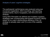The participants' performance was analyzed using eye movement registration, EEG recording, self-reporting, questionnaires, larynx myography, and time and error analysis.

Using DDU Principles we defined and modeled cognitive strategies with corresponding bell-shaped functions *Qbi(Fj)* where *Qi* is a user's performance efficiency if the *i*-th strategy is actually used, and *Fj* is one of the usability factors.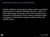Unlikely traditional psychological studies based on qualitative characteristics of cognitive strategies (Norman, 1986), our DDU methodology is directed to use of the operational and quantitative characteristics of the cognitive strategies based on analysis of interrelations between usability criteria and usability factors.

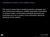We need to stress that in studying cognitive strategies and user performance efficiency usability specialists must define an actual number of information elements perceived and processed and not a number of the information elements displayed at the website.

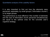It is also important to find out how the elements were perceived: separately, by small groups ("information chunks") or by larger groups.

The performance is most effective if the number of elements and the size of information chunk perceived simultaneously are equal to the optimal ones for the concrete user's cognitive strategy.

**Page 30 3-Nov-19 Proprietary and Confidential**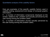Here are examples of the specific usability factors used in usability testing, assessment and design of computer graphic information:

 $F_1$  - a number of information components displayed on the screen, related to the problem and actually perceived by the user during solving the problem (task).

 $F<sub>2</sub>$  - a number of information chunks actually perceived by the user during solving the problem (task).

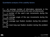$F_3$  - an average number of information elements in the information chunk perceived by the user simultaneously.

 $F_4$  - a number of the user's eye movements during the problem solving.

 $F<sub>5</sub>$  - an average angle of the eye movements during the problem solving.

 $F_6$  - an average eye fixation duration during the problem solving.

 $F<sub>7</sub>$  - the most long eye fixation duration during the problem solving.

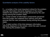$F_8$  - a number of the most important (critical for the problem solving) information elements displayed on the screen, related to the problem and actually perceived by the user during solving the problem (task).

 $F<sub>q</sub>$  - a total number of information components perceived from the screen and obtained from memory and other sources that the user processed during solving the problem (task).

 $F_{10}$  - a total number of the links between information elements displayed on the screen, which the user involved into solving the problem (task).

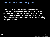Quantitative analysis of the usability factors

 $F_{11}$  - a number of direct (obvious) links (relationships) between information elements displayed on the screen, which the user involved into solving the problem (task).  $F_{12}$  - a number of indirect (hidden) links (relationships) between information elements the user considered during solving the problem.

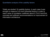Totally we studied 19 usability factors. In each case it was enough to measure 5-8 most influential factors in order to reach value of correlation coefficient about 0.75-0.9 and find concrete and sufficient recommendations on improvement of information architecture.

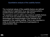The numerical values of the usability factors are defined using objective registration (e.g. eye tracking system), questionnaires and participants' self-reports.

The questions used to define and measure usability factors as a rule must not contain any direct questions about advantages and disadvantages of the website to be assessed in the usability testing. This is very important in order to eliminate any influence of participants' or experimenters' bias.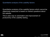Quantitative analysis of the usability factors which cannot be objectively measured is based on indirect questions about the website.

This is also way to automation and improvement of productivity of the usability testing.

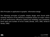#### DDU Principles in application to graphic information design

The following principles of graphic display design were found while studying influence of the efficiency-complexity factors on major criteria of users performance efficiency (speed and reliability) and complexity (time spent and number of errors made) *(Venda, 1975, 1982, Venda & Venda, 1995)*



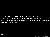1. *The optimal laconism principle: a number of information components of the page must be minimized up to the optimal information volume to allow maximal efficiency and minimal complexity of the task solving process.*



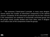#### 1. The *autonomy ("stand-alone") principle*. In many cases designer cannot reduce the number of information components to the optimal amount. Complexity of the information perceived may be then reduced if the components are combined in functionally connected groups and the groups clearly visually divided each from other, even if designer must reduce sizes of the components inside the groups.



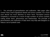1. The *principle of generalization and unification. Web pages often contain many small insignificant details and various symbols. As a result users* devote too much attention to minor items. Perception process complexity is increased as a result of large numbers of various symbols coding similar items, phenomena and relationships. The principle of *generalization and unification* of data items may help web designers to reduce a set of symbols used.



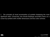1. The *principle of visual accentuation of symbols* displaying the most significant data. Conversely, one should displayay secondary items on a screen by symbols with smaller dimensions and less color contrast.



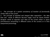#### 1. The *principle of a spatial consistency of location of functionally similar data on the screen.*

2. The *principle of detailed and integral data separation—* the data that user needs at different decision stages must be clearly divided. Designer needs to separate such data on the screen either in space (simultaneous presenting in different zones of the screen) or in time (sequential presenting).



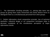1. The *information chunking principle,* i.e., placing data items into groups by giving them easily memorized and clearly distinct forms to distinguish them as a simultaneously perceived from other groups.

2. *Perfect information chunk composition principle*. Use of technical aesthetics, industrial design or *art composition techniques helps to decrease complexity of the simultaneous perception of larger information chunks.*



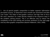#### 1. *Use of special graphic composition to better organize information perception process, to determine more smooth eye movement and data scan routes.* This helps to find graphic contours and logic links to focus the user's attention on a data directly related to the sequence steps in the problem solving process. This is an effective way to reduce the complexity of the task solving and increase aesthetics of the web page and any other graphic composition (Kazimir Malevich, 1923, 1936).



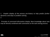1. *Graphic display of the process pre-history to help predict further dynamics and steps in problem solving.* 2.

Principle of command-information display. New knowledge about task may be directly combined with commands on the task solving process.



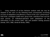1. Using methods of on-line behavior analysis web site may be adapted to the users on the following levels consequently increasing accuracy of adaptation and efficiency criteria of the users' performance: total level, contingent (staff) level, group level, individual level and the most precise, an individual-operative level (adaptation of the information to the current state, task and problem solving process) (Venda, 1975, 1982, Venda & Venda, 1995).



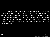1. Use of artistic composition methods is very important to attract and keep the web site users. The focus of a display format composition is to find a whole and its component elements, and to choose the main and subordinate composition centers. A vital condition of composition completeness is the equilibrium of the parts with the main center. The composition depends on the level of adaptation to the users chosen by the web designer.



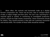#### 1. More often, the verticals and horizontals make up a display format's composition axis. These may be lines, dots or compact blocks of data, or object images and their parts. The user's eye, searching for a required signal or symbol, or monitoring an investigated production process, should not make chaotic movements. These movements should be orderly. They should proceed in step with the customary horizontal and vertical shifts. The number of these shifts should be minimal.



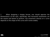1. When designing a display format, one should appraise the biomechanics of the eyes, specifically, that horizontal movements are the easiest and fastest to perform. Eye movement velocity on a curve depends on the shape of this curve and it varies widely.



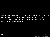*Web page composition must be based on simple and easily recognizable visual rhythms.* Art composition theory knows of two recurrence patterns-- metric and rhythmic. Rhythmic patterns offer the most interesting composition possibilities.



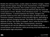Besides the ordinary meter, usually subject to rhythmic changes, rhythm implies also the regular change of some characteristics: of the distances among constituent elements, their number in groups, their forms, dimensions, etc.. The intervals among the elements play the same role as do pauses in music. Besides, if one introduces accent-- i.e., amplifying certain elements-- it would emphasize the rhythm. Designer may generate rhythm by lines with an identical slope, by distinct groups of mnemonic symbols, concentric circles and other figures, alternating at equal or regularly changing intervals. The finality of a rhythmic order depends on how "the rhythm is stopped", that is, what the final order's elements look like. The latter, like a musical phrase, cannot be interrupted at will. But the difference is that one always reads the musical phrase in one direction, while perceiving visual data depends on the perception logic and process.



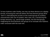To have rhythmic order finality, one may use these devices on a display format: Increasing the intervals before the final element groups (final "tact's"); Intensifying the accents on the central groups by auxiliary characteristics (the size of symbols, their color, etc.); Introducing the foreign elements, e.g., special large symbols, into the final groups; Integrating the final elements into groups of an inchoate new rhythmic order consonant with the main one.



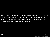Contrast and shade are important composition factors. Most often one may reach the required format element distinction by a functional analysis of the elements, and of their role in the visual perception, comprehension of information and problem solving.



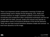There is an important artistic composition meaning of shade and contrast being used in display format designing. First, shade and contrast enhance an image's aesthetic qualities if and only if they accentuate and complement other composition techniques and are not at odds with the latter. Second, shade and contrast may operate as independent means of functional attributes of the format elements. Third, one can have mutual transitions between shade and contrast-- to lend more dynamics to the image.



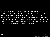As a rule, shade and contrast are simultaneously present in a composition solution, for one of these two devices accentuates and intensifies the other. One can increase the effect that the contrast between the main signal and the background exerts on the student by a shade ratio between the background and the secondary elements. The most difficult composition-related question is to choose a proper web page format scaling and its composition elements.



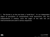1. The format is, on the one hand, a "small form." It is an independent object of perception of comparatively small dimensions; still, this independence is relative, since the pages of the web site are interconnected and used in various sequences.



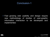# Conclusion-1

> Fast growing web usability and design require new methodology of studies of user-graphic information interaction to be developed and implemented.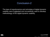# Conclusion-2

The laws of ergodynamics and principles of digital dynamic usability were suggested and successfully used to develop methodology of the digital dynamic usability.

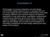# Conclusion-3

World leader in business integration and web design, marchFIRST started extensive work on development and use of the Digital Dynamic Usability methodology which adds to existing methods such important features as objective registration of user performance, quantitative measurement of performance efficiency factors and criteria, analysis of cognitive strategies, models to predict results of usability tests and web design and concrete recommendations on information architecture and web design starting from early stages of the projects.

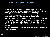#### Invitation to cooperation with marchFIRST

- > We are inviting colleagues, partners and clients to cooperate on further development and implementation of the Digital Dynamic Usability to the web design.
- > This invitation goes particularly to the colleagues at various marchFIRST offices and to the members of our worldwide network, the International Institute of Cognitive Psychology, Ergonomics and Hybrid Intelligence Systems, who live and work in USA, France, Norway, Germany, Russia, Ukraine and other countries. New members are welcome.
- > Now the center of the Institute/Network is at **marchFIRST, Phoenix Office.**